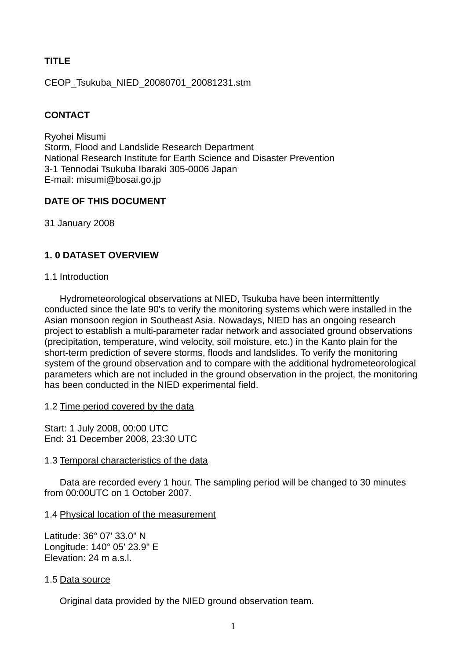# **TITLE**

CEOP\_Tsukuba\_NIED\_20080701\_20081231.stm

# **CONTACT**

Ryohei Misumi Storm, Flood and Landslide Research Department National Research Institute for Earth Science and Disaster Prevention 3-1 Tennodai Tsukuba Ibaraki 305-0006 Japan E-mail: misumi@bosai.go.jp

# **DATE OF THIS DOCUMENT**

31 January 2008

# **1. 0 DATASET OVERVIEW**

### 1.1 Introduction

Hydrometeorological observations at NIED, Tsukuba have been intermittently conducted since the late 90's to verify the monitoring systems which were installed in the Asian monsoon region in Southeast Asia. Nowadays, NIED has an ongoing research project to establish a multi-parameter radar network and associated ground observations (precipitation, temperature, wind velocity, soil moisture, etc.) in the Kanto plain for the short-term prediction of severe storms, floods and landslides. To verify the monitoring system of the ground observation and to compare with the additional hydrometeorological parameters which are not included in the ground observation in the project, the monitoring has been conducted in the NIED experimental field.

### 1.2 Time period covered by the data

Start: 1 July 2008, 00:00 UTC End: 31 December 2008, 23:30 UTC

### 1.3 Temporal characteristics of the data

Data are recorded every 1 hour. The sampling period will be changed to 30 minutes from 00:00UTC on 1 October 2007.

### 1.4 Physical location of the measurement

Latitude: 36° 07' 33.0" N Longitude: 140° 05' 23.9" E Elevation: 24 m a.s.l.

### 1.5 Data source

Original data provided by the NIED ground observation team.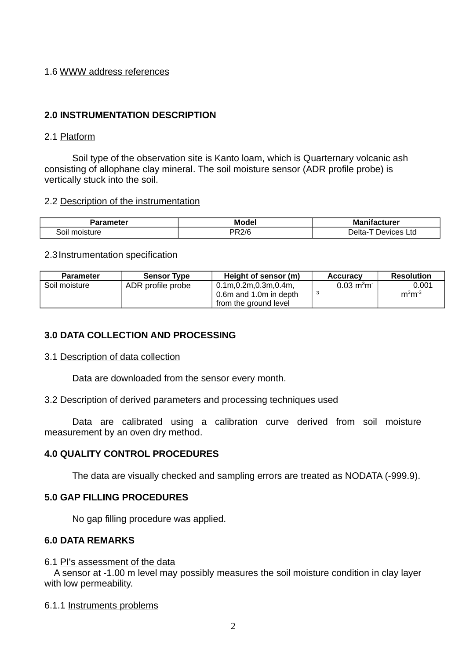# 1.6 WWW address references

# **2.0 INSTRUMENTATION DESCRIPTION**

### 2.1 Platform

Soil type of the observation site is Kanto loam, which is Quarternary volcanic ash consisting of allophane clay mineral. The soil moisture sensor (ADR profile probe) is vertically stuck into the soil.

### 2.2 Description of the instrumentation

| arameter          | Model | <b>Manifacturer</b>           |  |
|-------------------|-------|-------------------------------|--|
| moisture<br>∵ ا0خ | PR2/6 | T Devices L.<br>Ltd<br>Delta- |  |

### 2.3 Instrumentation specification

| <b>Parameter</b> | <b>Sensor Type</b> | Height of sensor (m)                                                    | <b>Accuracy</b>             | <b>Resolution</b> |
|------------------|--------------------|-------------------------------------------------------------------------|-----------------------------|-------------------|
| Soil moisture    | ADR profile probe  | 0.1m,0.2m,0.3m,0.4m,<br>0.6m and 1.0m in depth<br>from the ground level | $0.03 \text{ m}^3 \text{m}$ | 0.001<br>$m3m-3$  |

# **3.0 DATA COLLECTION AND PROCESSING**

### 3.1 Description of data collection

Data are downloaded from the sensor every month.

### 3.2 Description of derived parameters and processing techniques used

Data are calibrated using a calibration curve derived from soil moisture measurement by an oven dry method.

# **4.0 QUALITY CONTROL PROCEDURES**

The data are visually checked and sampling errors are treated as NODATA (-999.9).

### **5.0 GAP FILLING PROCEDURES**

No gap filling procedure was applied.

### **6.0 DATA REMARKS**

### 6.1 PI's assessment of the data

A sensor at -1.00 m level may possibly measures the soil moisture condition in clay layer with low permeability.

### 6.1.1 Instruments problems